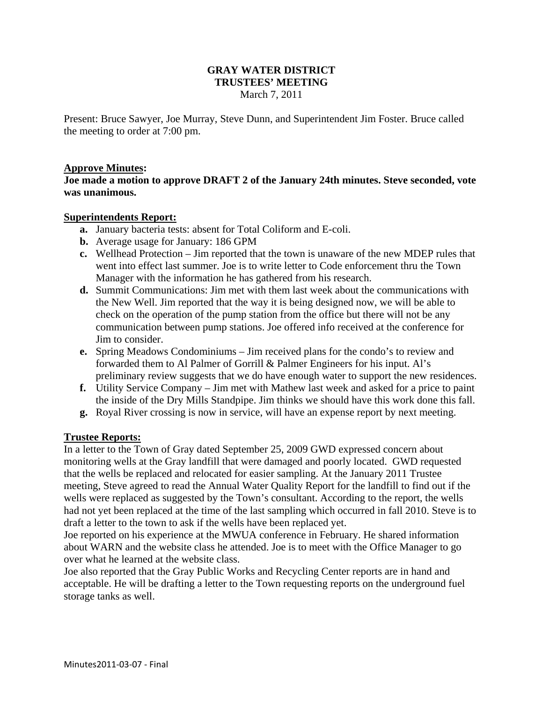## **GRAY WATER DISTRICT TRUSTEES' MEETING**  March 7, 2011

Present: Bruce Sawyer, Joe Murray, Steve Dunn, and Superintendent Jim Foster. Bruce called the meeting to order at 7:00 pm.

# **Approve Minutes:**

**Joe made a motion to approve DRAFT 2 of the January 24th minutes. Steve seconded, vote was unanimous.** 

### **Superintendents Report:**

- **a.** January bacteria tests: absent for Total Coliform and E-coli.
- **b.** Average usage for January: 186 GPM
- **c.** Wellhead Protection Jim reported that the town is unaware of the new MDEP rules that went into effect last summer. Joe is to write letter to Code enforcement thru the Town Manager with the information he has gathered from his research.
- **d.** Summit Communications: Jim met with them last week about the communications with the New Well. Jim reported that the way it is being designed now, we will be able to check on the operation of the pump station from the office but there will not be any communication between pump stations. Joe offered info received at the conference for Jim to consider.
- **e.** Spring Meadows Condominiums Jim received plans for the condo's to review and forwarded them to Al Palmer of Gorrill & Palmer Engineers for his input. Al's preliminary review suggests that we do have enough water to support the new residences.
- **f.** Utility Service Company Jim met with Mathew last week and asked for a price to paint the inside of the Dry Mills Standpipe. Jim thinks we should have this work done this fall.
- **g.** Royal River crossing is now in service, will have an expense report by next meeting.

### **Trustee Reports:**

In a letter to the Town of Gray dated September 25, 2009 GWD expressed concern about monitoring wells at the Gray landfill that were damaged and poorly located. GWD requested that the wells be replaced and relocated for easier sampling. At the January 2011 Trustee meeting, Steve agreed to read the Annual Water Quality Report for the landfill to find out if the wells were replaced as suggested by the Town's consultant. According to the report, the wells had not yet been replaced at the time of the last sampling which occurred in fall 2010. Steve is to draft a letter to the town to ask if the wells have been replaced yet.

Joe reported on his experience at the MWUA conference in February. He shared information about WARN and the website class he attended. Joe is to meet with the Office Manager to go over what he learned at the website class.

Joe also reported that the Gray Public Works and Recycling Center reports are in hand and acceptable. He will be drafting a letter to the Town requesting reports on the underground fuel storage tanks as well.